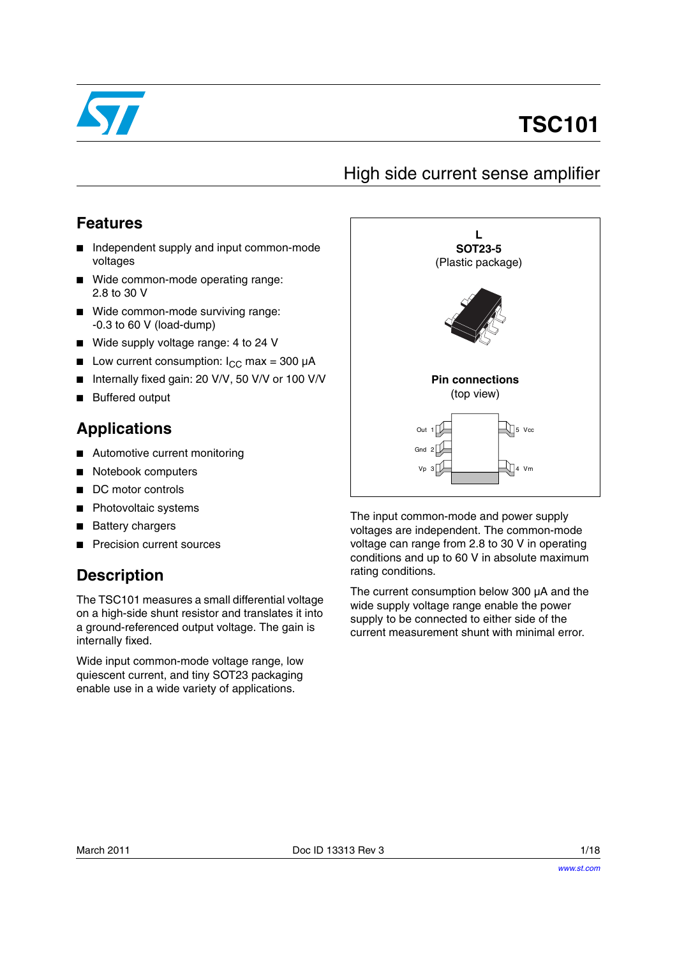

# **TSC101**

## High side current sense amplifier

#### **Features**

- Independent supply and input common-mode voltages
- Wide common-mode operating range: 2.8 to 30 V
- Wide common-mode surviving range: -0.3 to 60 V (load-dump)
- Wide supply voltage range: 4 to 24 V
- **■** Low current consumption:  $I_{CC}$  max = 300  $\mu$ A
- Internally fixed gain: 20 V/V, 50 V/V or 100 V/V
- **Buffered output**

### **Applications**

- Automotive current monitoring
- Notebook computers
- DC motor controls
- Photovoltaic systems
- **Battery chargers**
- **Precision current sources**

## **Description**

The TSC101 measures a small differential voltage on a high-side shunt resistor and translates it into a ground-referenced output voltage. The gain is internally fixed.

Wide input common-mode voltage range, low quiescent current, and tiny SOT23 packaging enable use in a wide variety of applications.



The input common-mode and power supply voltages are independent. The common-mode voltage can range from 2.8 to 30 V in operating conditions and up to 60 V in absolute maximum rating conditions.

The current consumption below 300 µA and the wide supply voltage range enable the power supply to be connected to either side of the current measurement shunt with minimal error.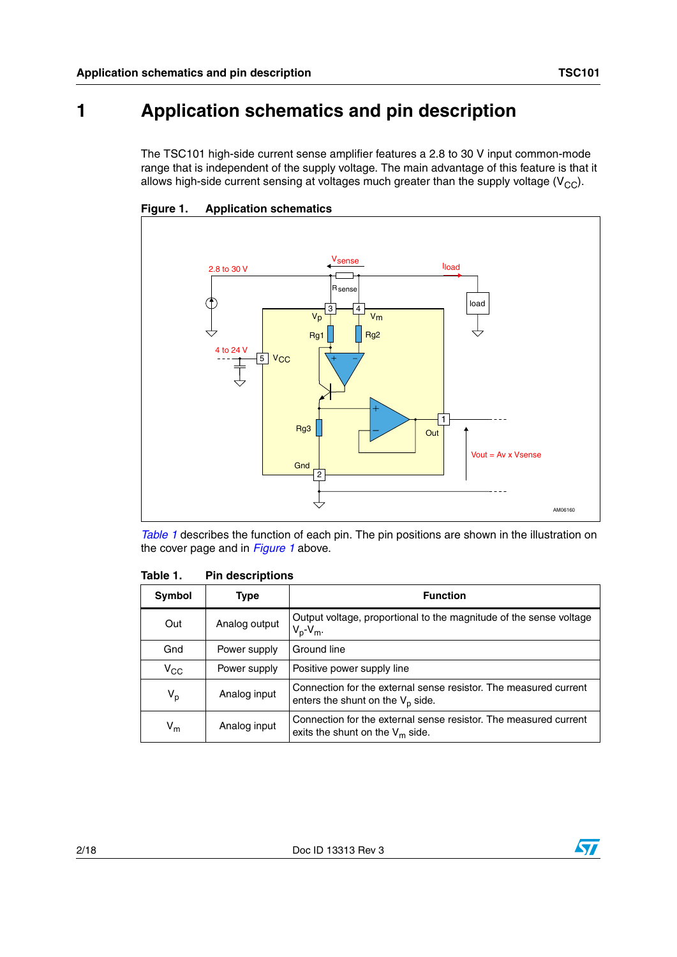# **1 Application schematics and pin description**

The TSC101 high-side current sense amplifier features a 2.8 to 30 V input common-mode range that is independent of the supply voltage. The main advantage of this feature is that it allows high-side current sensing at voltages much greater than the supply voltage  $(V_{CC})$ .



<span id="page-1-1"></span>**Figure 1. Application schematics**

*[Table 1](#page-1-0)* describes the function of each pin. The pin positions are shown in the illustration on the cover page and in *[Figure 1](#page-1-1)* above.

| <b>Symbol</b> | Type          | <b>Function</b>                                                                                         |
|---------------|---------------|---------------------------------------------------------------------------------------------------------|
| Out           | Analog output | Output voltage, proportional to the magnitude of the sense voltage<br>$V_p - V_m$ .                     |
| Gnd           | Power supply  | Ground line                                                                                             |
| $V_{CC}$      | Power supply  | Positive power supply line                                                                              |
| $V_p$         | Analog input  | Connection for the external sense resistor. The measured current<br>enters the shunt on the $V_p$ side. |
| $V_{m}$       | Analog input  | Connection for the external sense resistor. The measured current<br>exits the shunt on the $V_m$ side.  |

<span id="page-1-0"></span>Table 1. **Pin descriptions** 

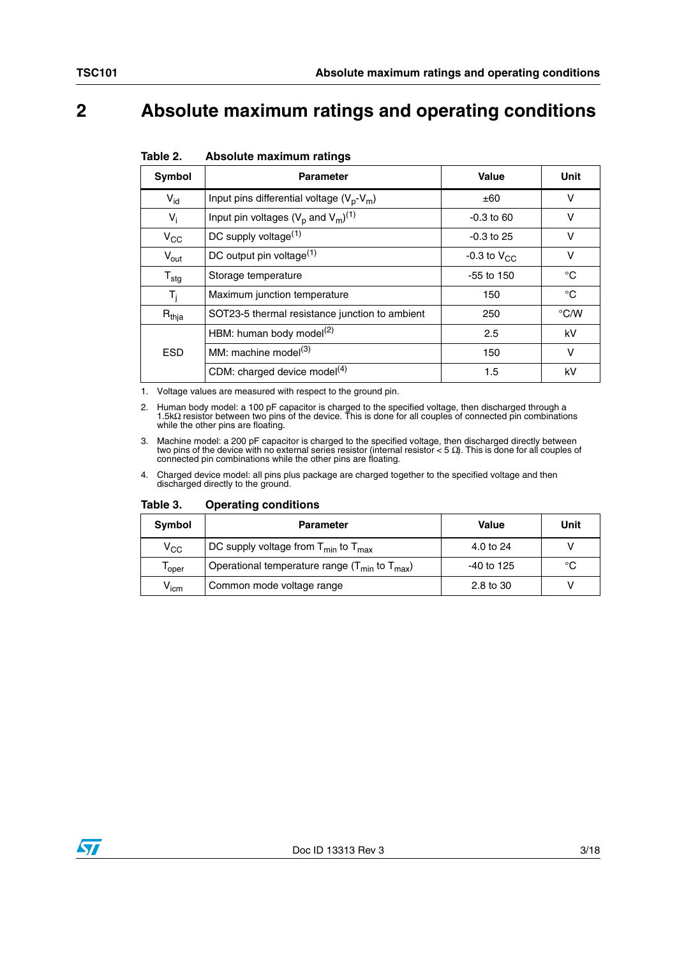# **2 Absolute maximum ratings and operating conditions**

<span id="page-2-0"></span>

| Absolute maximum ratings<br>Table 2. |  |  |  |  |
|--------------------------------------|--|--|--|--|
|--------------------------------------|--|--|--|--|

| Symbol              | <b>Parameter</b>                               | Value            | Unit          |
|---------------------|------------------------------------------------|------------------|---------------|
| $V_{\text{id}}$     | Input pins differential voltage $(V_p-V_m)$    | ±60              | v             |
| $V_i$               | Input pin voltages $(V_p$ and $V_m)^{(1)}$     | $-0.3$ to 60     | v             |
| $V_{CC}$            | DC supply voltage <sup>(1)</sup>               | $-0.3$ to 25     | v             |
| $V_{\text{out}}$    | DC output pin voltage <sup>(1)</sup>           | -0.3 to $V_{CC}$ | $\vee$        |
| ${\sf T}_{\sf stg}$ | Storage temperature                            | $-55$ to 150     | °C            |
| $T_i$               | Maximum junction temperature                   | 150              | $^{\circ}C$   |
| $R_{thja}$          | SOT23-5 thermal resistance junction to ambient | 250              | $\degree$ C/W |
|                     | HBM: human body model $(2)$                    | 2.5              | kV            |
| <b>ESD</b>          | MM: machine model <sup>(3)</sup>               | 150              | v             |
|                     | CDM: charged device model <sup>(4)</sup>       | 1.5              | kV            |

1. Voltage values are measured with respect to the ground pin.

2. Human body model: a 100 pF capacitor is charged to the specified voltage, then discharged through a<br>1.5kΩ resistor between two pins of the device. This is done for all couples of connected pin combinations<br>while the o

3. Machine model: a 200 pF capacitor is charged to the specified voltage, then discharged directly between two pins of the device with no external series resistor (internal resistor < 5 Ω). This is done for all couples of connected pin combinations while the other pins are floating.

4. Charged device model: all pins plus package are charged together to the specified voltage and then discharged directly to the ground.

| Table 3. |  | <b>Operating conditions</b> |
|----------|--|-----------------------------|
|----------|--|-----------------------------|

| Symbol                             | <b>Parameter</b>                                       | <b>Value</b> | Unit |
|------------------------------------|--------------------------------------------------------|--------------|------|
| $V_{\rm CC}$                       | DC supply voltage from $T_{min}$ to $T_{max}$          | 4.0 to 24    |      |
| 'oper                              | Operational temperature range $(T_{min}$ to $T_{max})$ | -40 to 125   | °C   |
| $\bm{{\mathsf{V}}}_{\mathsf{icm}}$ | Common mode voltage range                              | 2.8 to 30    |      |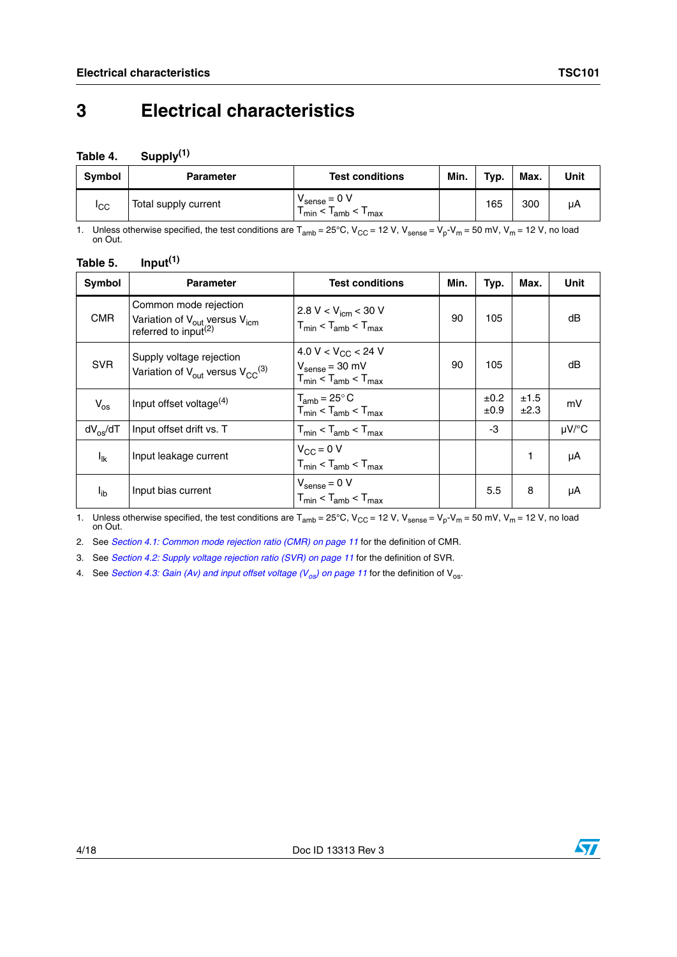# **3 Electrical characteristics**

#### **Table 4. Supply(1)**

| Symbol      | <b>Parameter</b>     | <b>Test conditions</b>                              | Min. | Typ. | Max. | Unit |
|-------------|----------------------|-----------------------------------------------------|------|------|------|------|
| <b>I</b> CC | Total supply current | $\cdot$ $\cdot$ sense = 0 V<br>min<br>$I_{amb}$ max |      | 165  | 300  | μA   |

1. Unless otherwise specified, the test conditions are  $T_{amb} = 25^{\circ}C$ ,  $V_{CC} = 12$  V,  $V_{sense} = V_p - V_m = 50$  mV,  $V_m = 12$  V, no load on Out.

| Input <sup>(1)</sup><br>Table 5. |  |
|----------------------------------|--|
|----------------------------------|--|

| Symbol             | <b>Parameter</b>                                                                                                   | <b>Test conditions</b>                                                                                    | Min. | Typ.         | Max.         | Unit  |
|--------------------|--------------------------------------------------------------------------------------------------------------------|-----------------------------------------------------------------------------------------------------------|------|--------------|--------------|-------|
| <b>CMR</b>         | Common mode rejection<br>Variation of V <sub>out</sub> versus V <sub>icm</sub><br>referred to input <sup>(2)</sup> | 2.8 V < $V_{icm}$ < 30 V<br>$T_{min}$ < $T_{amb}$ < $T_{max}$                                             | 90   | 105          |              | dB    |
| <b>SVR</b>         | Supply voltage rejection<br>Variation of $V_{\text{out}}$ versus $V_{\text{CC}}^{(3)}$                             | 4.0 V < V <sub>CC</sub> < 24 V<br>$V_{\text{sense}} = 30 \text{ mV}$<br>$T_{min}$ < $T_{amb}$ < $T_{max}$ | 90   | 105          |              | dB    |
| $V_{OS}$           | Input offset voltage <sup>(4)</sup>                                                                                | $T_{amb}$ = 25 $\degree$ C<br>$T_{min}$ < $T_{amb}$ < $T_{max}$                                           |      | ±0.2<br>±0.9 | ±1.5<br>±2.3 | mV    |
| $dV_{\alpha s}/dT$ | Input offset drift vs. T                                                                                           | $T_{min}$ < $T_{amb}$ < $T_{max}$                                                                         |      | -3           |              | µV/°C |
| $I_{lk}$           | Input leakage current                                                                                              | $V_{\rm CC} = 0$ V<br>$T_{min}$ < $T_{amb}$ < $T_{max}$                                                   |      |              |              | μA    |
| l <sub>ib</sub>    | Input bias current                                                                                                 | $V_{\text{sense}} = 0 V$<br>$T_{min}$ < $T_{amb}$ < $T_{max}$                                             |      | 5.5          | 8            | μA    |

1. Unless otherwise specified, the test conditions are  $T_{amb} = 25^{\circ}C$ ,  $V_{CC} = 12$  V,  $V_{sense} = V_p - V_m = 50$  mV,  $V_m = 12$  V, no load on Out.

2. See *[Section 4.1: Common mode rejection ratio \(CMR\) on page 11](#page-10-0)* for the definition of CMR.

3. See *[Section 4.2: Supply voltage rejection ratio \(SVR\) on page 11](#page-10-1)* for the definition of SVR.

4. See *Section 4.3: Gain (Av) and input offset voltage (V<sub>os</sub>) on page 11 for the definition of V<sub>os</sub>.* 

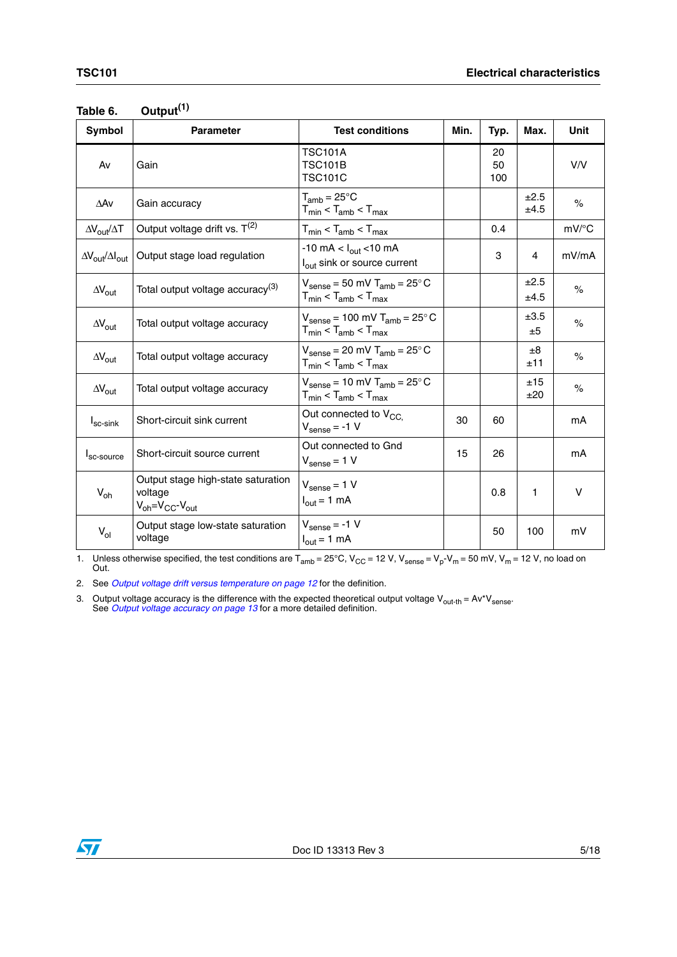| <b>Symbol</b>                                 | <b>Parameter</b>                                                                                  | <b>Test conditions</b>                                                                           | Min. | Typ.            | Max.           | Unit                |
|-----------------------------------------------|---------------------------------------------------------------------------------------------------|--------------------------------------------------------------------------------------------------|------|-----------------|----------------|---------------------|
| Av                                            | Gain                                                                                              | <b>TSC101A</b><br><b>TSC101B</b><br><b>TSC101C</b>                                               |      | 20<br>50<br>100 |                | V/V                 |
| $\Delta$ Av                                   | Gain accuracy                                                                                     | $T_{amb} = 25^{\circ}C$<br>$T_{min}$ < $T_{amb}$ < $T_{max}$                                     |      |                 | ±2.5<br>±4.5   | $\%$                |
| $\Delta V_{\rm out}/\Delta T$                 | Output voltage drift vs. $T^{(2)}$                                                                | $T_{min}$ < $T_{amb}$ < $T_{max}$                                                                |      | 0.4             |                | $mV$ <sup>o</sup> C |
| $\Delta V_{\text{out}}/\Delta I_{\text{out}}$ | Output stage load regulation                                                                      | $-10 \text{ mA} < I_{\text{out}} < 10 \text{ mA}$<br>l <sub>out</sub> sink or source current     |      | 3               | 4              | mV/mA               |
| $\Delta V_{\text{out}}$                       | Total output voltage accuracy <sup>(3)</sup>                                                      | $V_{\text{sense}} = 50 \text{ mV}$ T <sub>amb</sub> = 25°C<br>$T_{min}$ < $T_{amb}$ < $T_{max}$  |      |                 | ±2.5<br>±4.5   | $\%$                |
| $\Delta V_{\text{out}}$                       | Total output voltage accuracy                                                                     | $V_{\text{sense}} = 100 \text{ mV}$ T <sub>amb</sub> = 25°C<br>$T_{min}$ < $T_{amb}$ < $T_{max}$ |      |                 | ±3.5<br>±5     | $\%$                |
| $\Delta\rm{V_{out}}$                          | Total output voltage accuracy                                                                     | $V_{\text{sense}} = 20 \text{ mV}$ T <sub>amb</sub> = 25°C<br>$T_{min}$ < $T_{amb}$ < $T_{max}$  |      |                 | $\pm 8$<br>±11 | $\%$                |
| $\Delta V_{\text{out}}$                       | Total output voltage accuracy                                                                     | $V_{\text{sense}} = 10 \text{ mV}$ T <sub>amb</sub> = 25°C<br>$T_{min}$ < $T_{amb}$ < $T_{max}$  |      |                 | ±15<br>±20     | $\%$                |
| $I_{sc-sink}$                                 | Short-circuit sink current                                                                        | Out connected to $V_{CC}$<br>$V_{\text{sense}} = -1 V$                                           | 30   | 60              |                | mA                  |
| I <sub>sc-source</sub>                        | Short-circuit source current                                                                      | Out connected to Gnd<br>$V_{\text{sense}} = 1 V$                                                 | 15   | 26              |                | mA                  |
| $V_{oh}$                                      | Output stage high-state saturation<br>voltage<br>$V_{\text{oh}} = V_{\text{CC}} - V_{\text{out}}$ | $V_{\text{sense}} = 1 V$<br>$I_{\text{out}} = 1 \text{ mA}$                                      |      | 0.8             | 1              | V                   |
| $V_{ol}$                                      | Output stage low-state saturation<br>voltage                                                      | $V_{\text{sense}} = -1 V$<br>$I_{\text{out}} = 1 \text{ mA}$                                     |      | 50              | 100            | mV                  |

| Table 6. | Output <sup>(1)</sup> |
|----------|-----------------------|
|----------|-----------------------|

1. Unless otherwise specified, the test conditions are  $T_{amb} = 25^{\circ}$ C, V<sub>CC</sub> = 12 V, V<sub>sense</sub> = V<sub>p</sub>-V<sub>m</sub> = 50 mV, V<sub>m</sub> = 12 V, no load on Out.

2. See *[Output voltage drift versus temperature on page 12](#page-11-0)* for the definition.

3. Output voltage accuracy is the difference with the expected theoretical output voltage V<sub>out-th</sub> = Av\*V<sub>sense</sub>.<br>See *[Output voltage accuracy on page 13](#page-12-0)* for a more detailed definition.

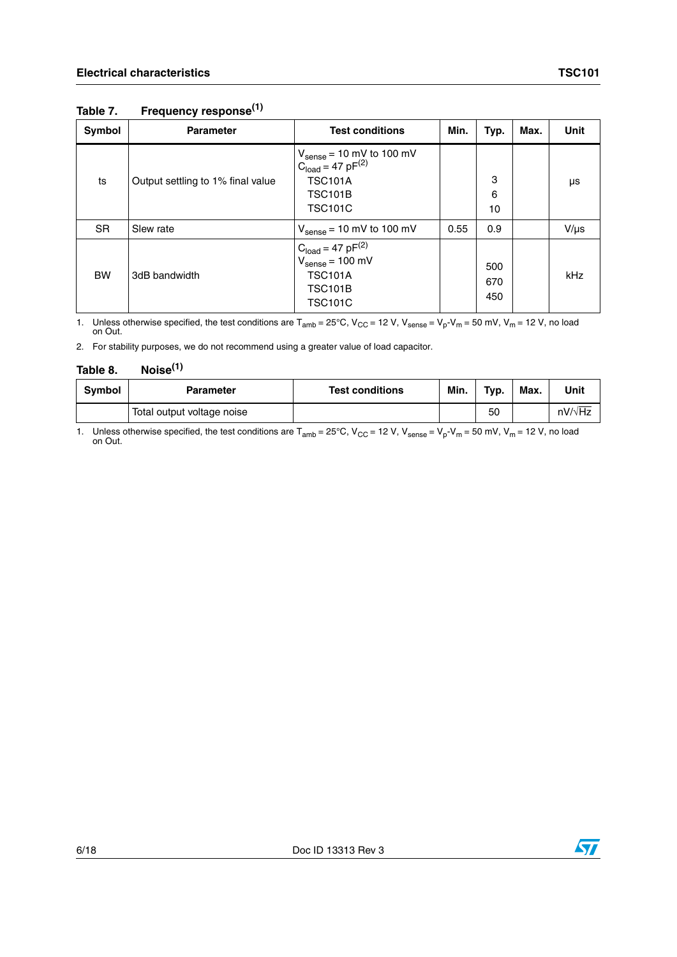#### **Table 7. Frequency response(1)**

| Symbol    | <b>Parameter</b>                  | <b>Test conditions</b>                                                                                                                         | Min. | Typ.              | Max. | Unit      |
|-----------|-----------------------------------|------------------------------------------------------------------------------------------------------------------------------------------------|------|-------------------|------|-----------|
| ts        | Output settling to 1% final value | $V_{\text{sense}} = 10 \text{ mV}$ to 100 mV<br>C <sub>load</sub> = 47 pF <sup>(2)</sup><br><b>TSC101A</b><br><b>TSC101B</b><br><b>TSC101C</b> |      | 3<br>6<br>10      |      | μs        |
| <b>SR</b> | Slew rate                         | $V_{\text{sense}} = 10 \text{ mV}$ to 100 mV                                                                                                   | 0.55 | 0.9               |      | $V/\mu s$ |
| <b>BW</b> | 3dB bandwidth                     | $C_{load} = 47 \text{ pF}^{(2)}$<br>$V_{\text{sense}} = 100 \text{ mV}$<br><b>TSC101A</b><br><b>TSC101B</b><br><b>TSC101C</b>                  |      | 500<br>670<br>450 |      | kHz       |

1. Unless otherwise specified, the test conditions are  $T_{amb} = 25^{\circ}$ C, V<sub>CC</sub> = 12 V, V<sub>sense</sub> = V<sub>p</sub>-V<sub>m</sub> = 50 mV, V<sub>m</sub> = 12 V, no load on Out.

2. For stability purposes, we do not recommend using a greater value of load capacitor.

#### **Table 8. Noise(1)**

| Symbol | Parameter                  | <b>Test conditions</b> | Min. | Typ. | Max. | Unit           |
|--------|----------------------------|------------------------|------|------|------|----------------|
|        | Total output voltage noise |                        |      | 50   |      | $nV/\sqrt{Hz}$ |

1. Unless otherwise specified, the test conditions are  $T_{amb} = 25^{\circ}C$ ,  $V_{CC} = 12$  V,  $V_{sense} = V_p - V_m = 50$  mV,  $V_m = 12$  V, no load on Out.

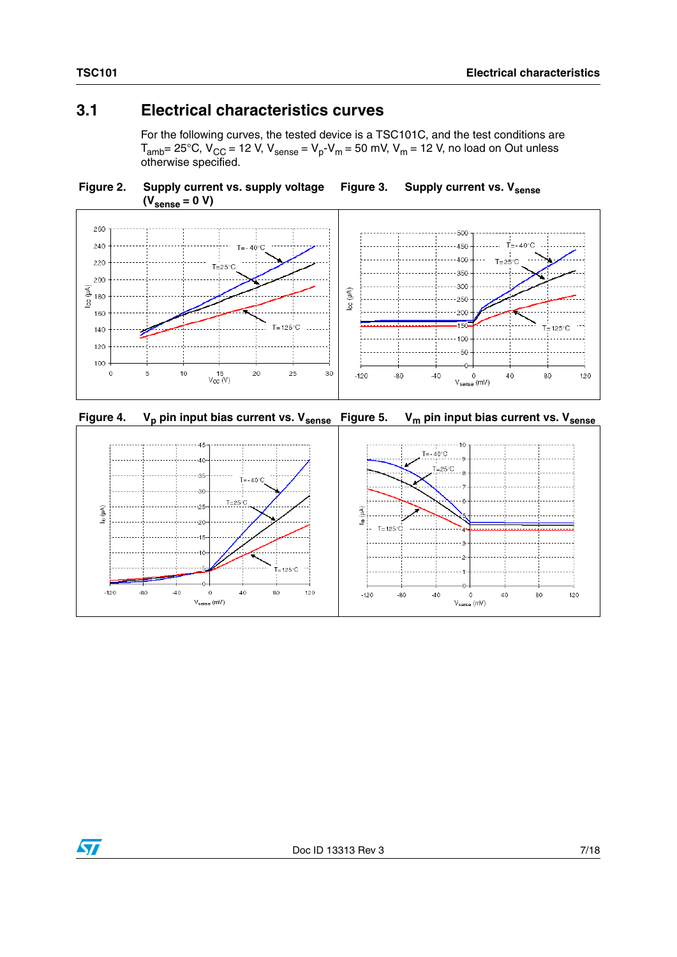### **3.1 Electrical characteristics curves**

For the following curves, the tested device is a TSC101C, and the test conditions are  $T_{amb}$  = 25°C,  $V_{CC}$  = 12 V,  $V_{sense}$  =  $V_p$ - $V_m$  = 50 mV,  $V_m$  = 12 V, no load on Out unless otherwise specified.









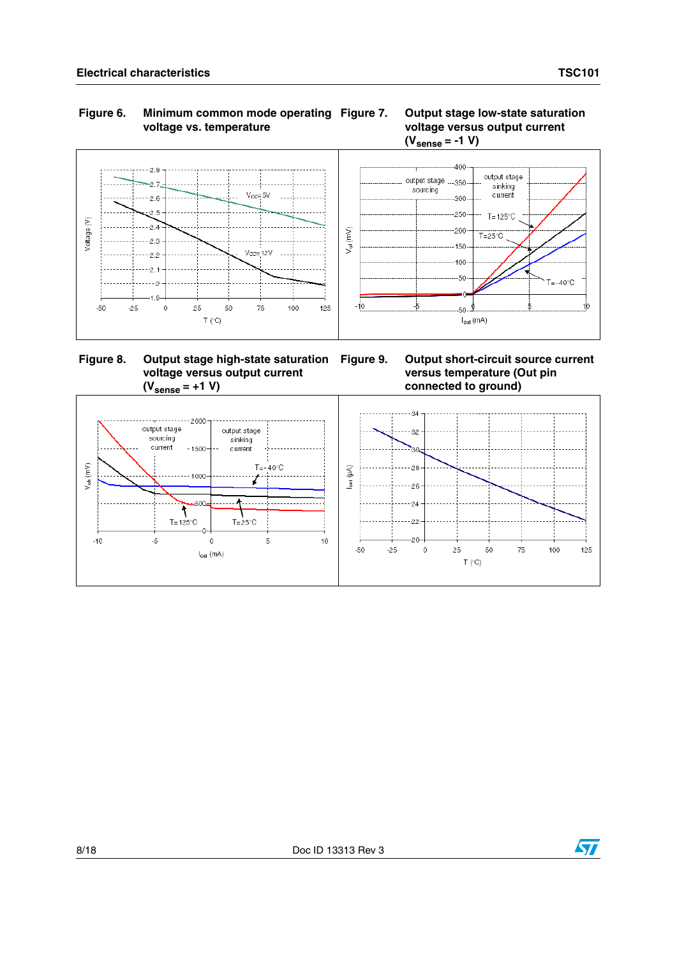



 **Figure 8. Output stage high-state saturation voltage versus output current**  $(V_{\text{sense}} = +1 V)$ 

**Output short-circuit source current versus temperature (Out pin connected to ground)**



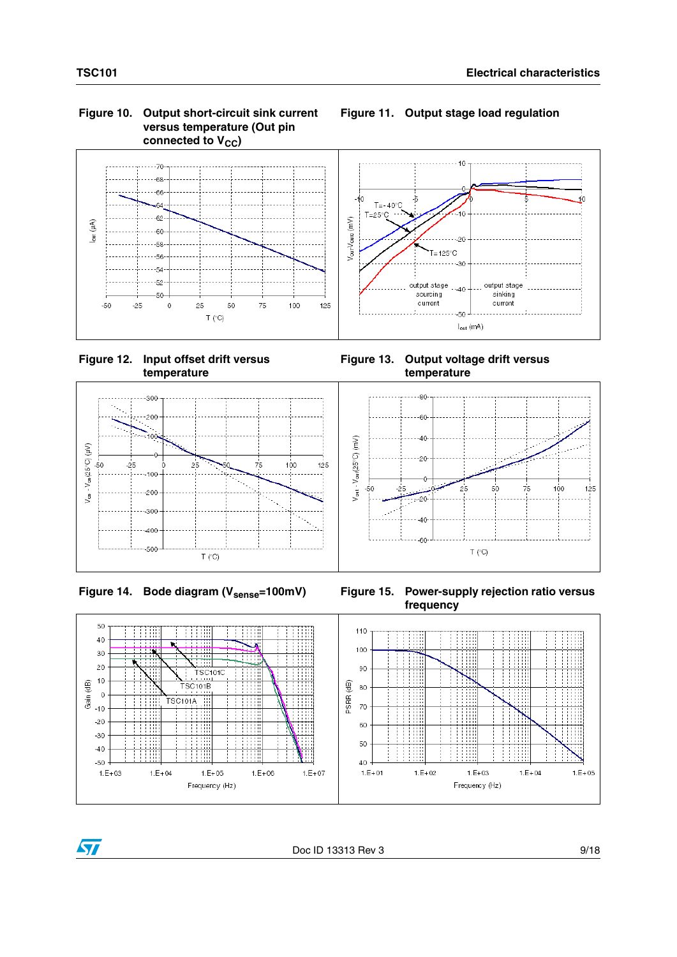#### **Figure 10. Output short-circuit sink current versus temperature (Out pin**  connected to V<sub>CC</sub>)



 **Figure 12. Input offset drift versus temperature**

**Figure 13. Output voltage drift versus temperature**

**Figure 11. Output stage load regulation**





Figure 14. Bode diagram (V<sub>sense</sub>=100mV) Figure 15. Power-supply rejection ratio versus **frequency**



 $\sqrt{}$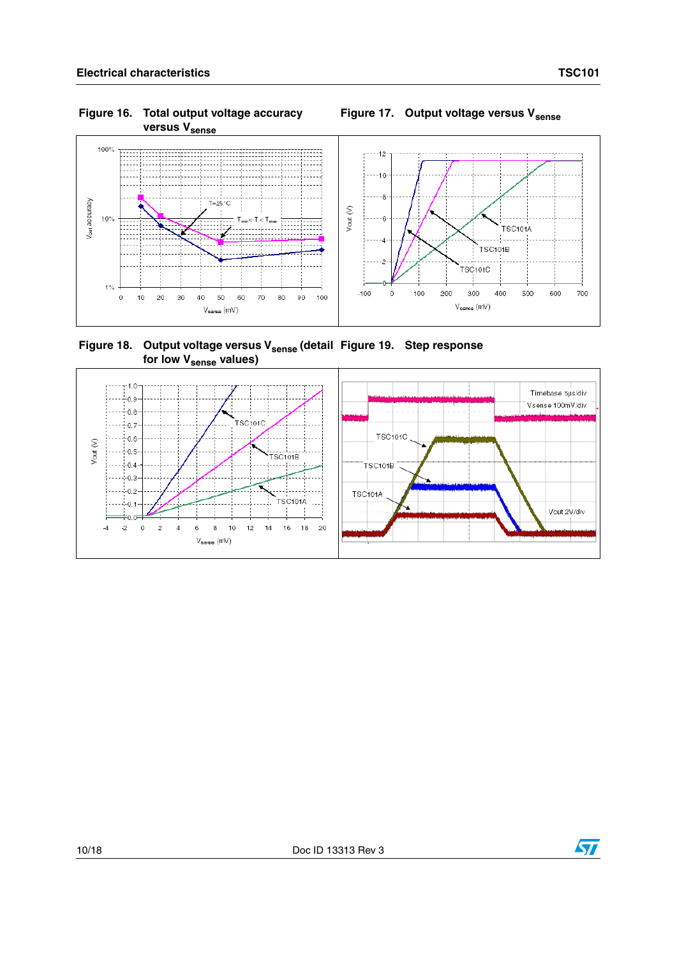V<sub>out</sub> accuracy

#### **Figure 16. Total output voltage accuracy versus V**<sub>sense</sub>

# Figure 17. Output voltage versus V<sub>sense</sub>



Figure 18. Output voltage versus V<sub>sense</sub> (detail Figure 19. Step response for low V<sub>sense</sub> values)



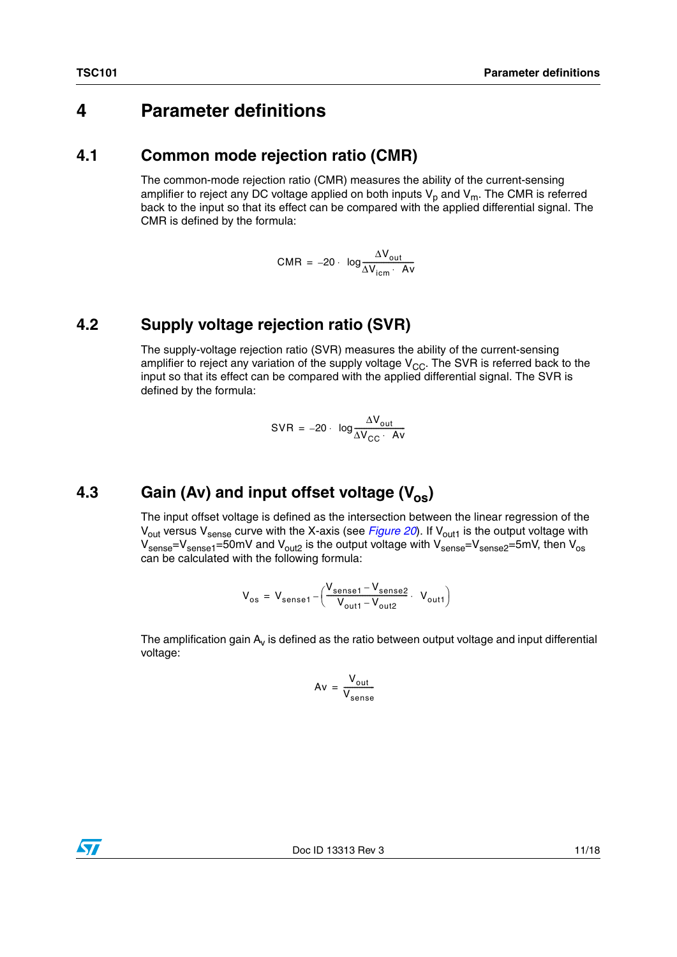## **4 Parameter definitions**

#### <span id="page-10-0"></span>**4.1 Common mode rejection ratio (CMR)**

The common-mode rejection ratio (CMR) measures the ability of the current-sensing amplifier to reject any DC voltage applied on both inputs  $V_p$  and  $V_m$ . The CMR is referred back to the input so that its effect can be compared with the applied differential signal. The CMR is defined by the formula:

$$
CMR = -20 \cdot \log \frac{\Delta V_{out}}{\Delta V_{icm} \cdot Av}
$$

#### <span id="page-10-1"></span>**4.2 Supply voltage rejection ratio (SVR)**

The supply-voltage rejection ratio (SVR) measures the ability of the current-sensing amplifier to reject any variation of the supply voltage  $V_{CC}$ . The SVR is referred back to the input so that its effect can be compared with the applied differential signal. The SVR is defined by the formula:

$$
SVR = -20 \cdot \log \frac{\Delta V_{out}}{\Delta V_{CC} \cdot Av}
$$

## <span id="page-10-2"></span>**4.3** Gain (Av) and input offset voltage (V<sub>os</sub>)

The input offset voltage is defined as the intersection between the linear regression of the V<sub>out</sub> versus V<sub>sense</sub> curve with the X-axis (see *[Figure 20](#page-11-1)*). If V<sub>out1</sub> is the output voltage with  $V_{\text{sense}}=V_{\text{sense1}}=50$ mV and  $V_{\text{out2}}$  is the output voltage with  $V_{\text{sense2}}=V_{\text{sense2}}=5$ mV, then  $V_{\text{os}}$ can be calculated with the following formula:

$$
V_{os} = V_{sense1} - \left(\frac{V_{sense1} - V_{sense2}}{V_{out1} - V_{out2}} \cdot V_{out1}\right)
$$

The amplification gain  $A_v$  is defined as the ratio between output voltage and input differential voltage:

$$
Av = \frac{V_{out}}{V_{sense}}
$$

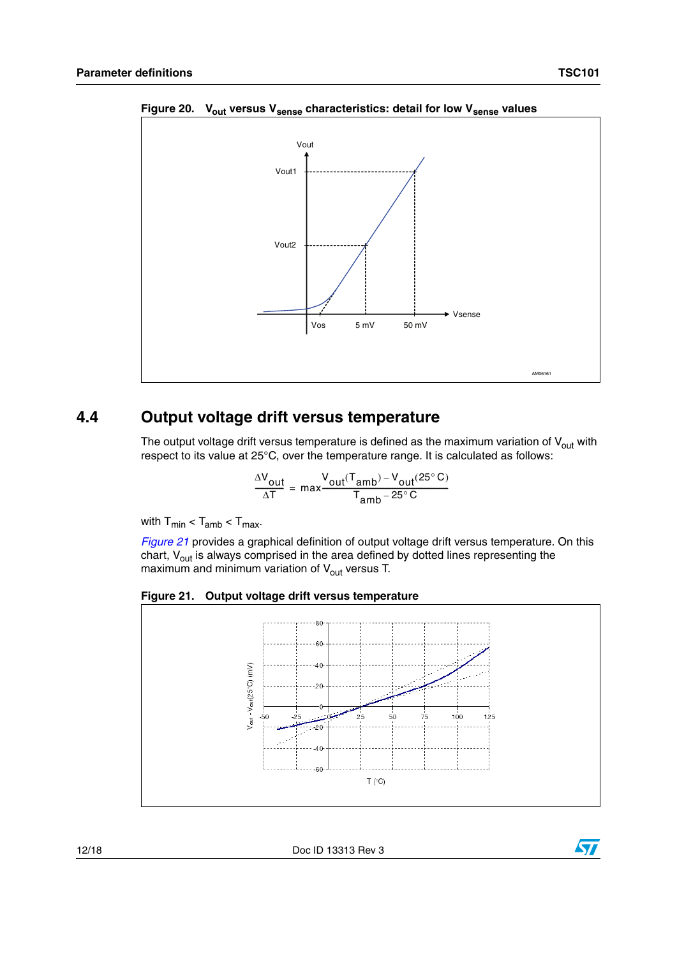

<span id="page-11-1"></span>Figure 20. V<sub>out</sub> versus V<sub>sense</sub> characteristics: detail for low V<sub>sense</sub> values

#### <span id="page-11-0"></span>**4.4 Output voltage drift versus temperature**

The output voltage drift versus temperature is defined as the maximum variation of  $V_{\text{out}}$  with respect to its value at 25°C, over the temperature range. It is calculated as follows:

$$
\frac{\Delta V_{out}}{\Delta T} = \max \frac{V_{out}(T_{amb}) - V_{out}(25^{\circ} \text{C})}{T_{amb} - 25^{\circ} \text{C}}
$$

with  $T_{min} < T_{amb} < T_{max}$ .

*[Figure 21](#page-11-2)* provides a graphical definition of output voltage drift versus temperature. On this chart,  $V_{\text{out}}$  is always comprised in the area defined by dotted lines representing the maximum and minimum variation of  $V_{\text{out}}$  versus T.

<span id="page-11-2"></span>



12/18 Doc ID 13313 Rev 3

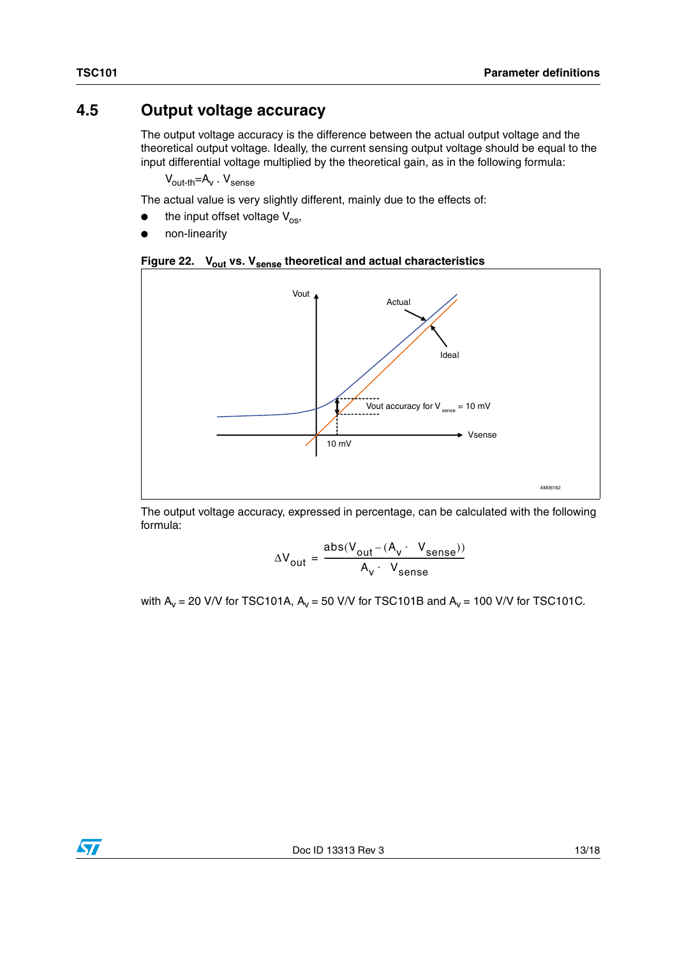#### <span id="page-12-0"></span>**4.5 Output voltage accuracy**

The output voltage accuracy is the difference between the actual output voltage and the theoretical output voltage. Ideally, the current sensing output voltage should be equal to the input differential voltage multiplied by the theoretical gain, as in the following formula:

 $V_{\text{out-th}} = A_V$ .  $V_{\text{sense}}$ 

The actual value is very slightly different, mainly due to the effects of:

- the input offset voltage  $V_{OS}$ ,
- non-linearity





The output voltage accuracy, expressed in percentage, can be calculated with the following formula:

$$
\Delta V_{\text{out}} = \frac{\text{abs}(V_{\text{out}} - (A_v \cdot V_{\text{sense}}))}{A_v \cdot V_{\text{sense}}}
$$

with  $A_v = 20$  V/V for TSC101A,  $A_v = 50$  V/V for TSC101B and  $A_v = 100$  V/V for TSC101C.

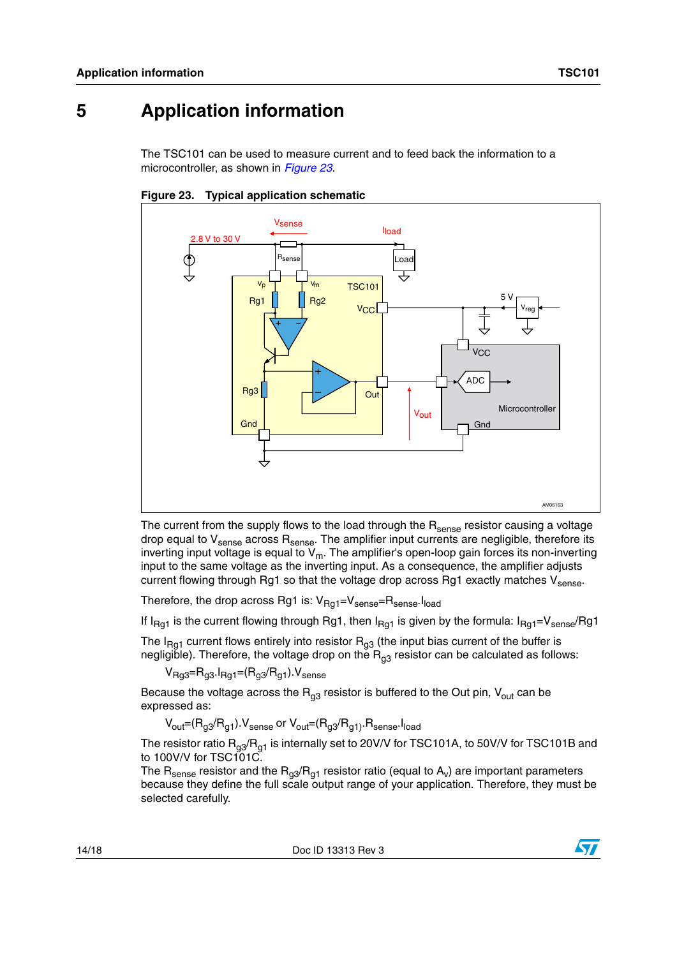# **5 Application information**

The TSC101 can be used to measure current and to feed back the information to a microcontroller, as shown in *[Figure 23](#page-13-0)*.



<span id="page-13-0"></span>

The current from the supply flows to the load through the  $R_{\text{sense}}$  resistor causing a voltage drop equal to V<sub>sense</sub> across R<sub>sense</sub>. The amplifier input currents are negligible, therefore its inverting input voltage is equal to  $\bm{{\mathsf{V}}}_{{\mathsf{m}}}$ . The amplifier's open-loop gain forces its non-inverting input to the same voltage as the inverting input. As a consequence, the amplifier adjusts current flowing through Rg1 so that the voltage drop across Rg1 exactly matches  $V_{\text{sense}}$ .

Therefore, the drop across Rg1 is:  $V_{\text{Rg1}}=V_{\text{sense}}=R_{\text{sense}}.I_{\text{load}}$ 

If I<sub>Ra1</sub> is the current flowing through Rg1, then I<sub>Ra1</sub> is given by the formula: I<sub>Ra1</sub>=V<sub>sense</sub>/Rg1

The I<sub>Rg1</sub> current flows entirely into resistor  $\mathsf{R}_{\mathsf{g3}}$  (the input bias current of the buffer is negligible). Therefore, the voltage drop on the  $\mathsf{R}_{\mathsf{g3}}$  resistor can be calculated as follows:

 $V_{\text{Rg3}} = R_{g3} I_{\text{Rg1}} = (R_{g3}/R_{g1})$ .  $V_{\text{sense}}$ 

Because the voltage across the  $R_{q3}$  resistor is buffered to the Out pin,  $V_{out}$  can be expressed as:

 $V_{\text{out}}=(R_{g3}/R_{g1})$ . $V_{\text{sense}}$  or  $V_{\text{out}}=(R_{g3}/R_{g1})$ . $R_{\text{sense}}$ . $I_{\text{load}}$ 

The resistor ratio  $\mathsf{R}_{\mathsf{g3}}\!/\mathsf{R}_{\mathsf{g1}}$  is internally set to 20V/V for TSC101A, to 50V/V for TSC101B and to 100V/V for TSC101C.

The  $R_{\text{sense}}$  resistor and the  $R_{g3}/R_{g1}$  resistor ratio (equal to  $A_v$ ) are important parameters because they define the full scale output range of your application. Therefore, they must be selected carefully.

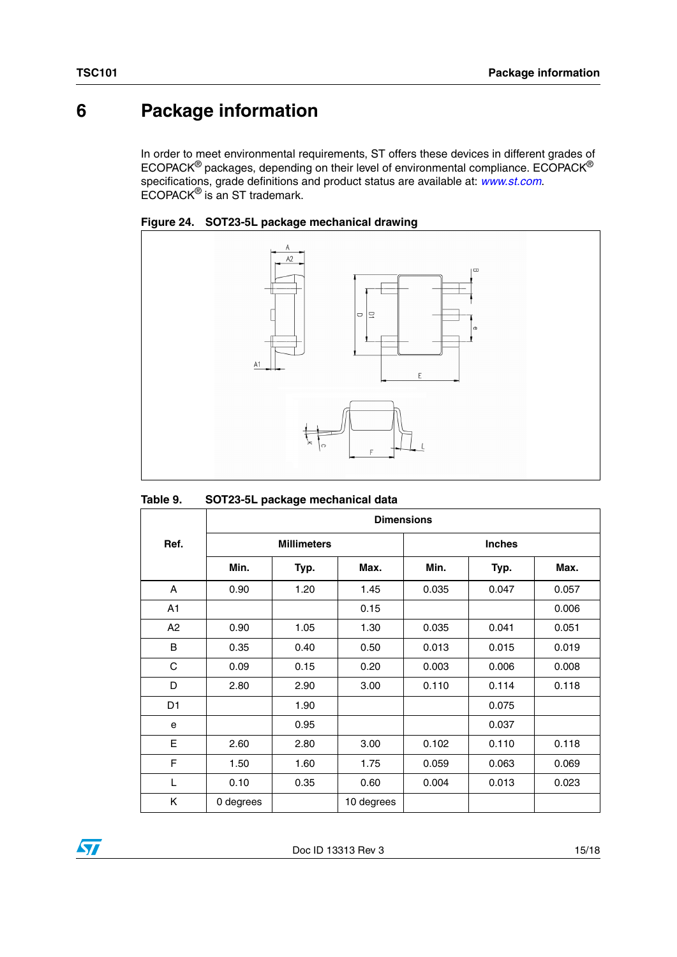# **6 Package information**

In order to meet environmental requirements, ST offers these devices in different grades of ECOPACK $^{\circledR}$  packages, depending on their level of environmental compliance. ECOPACK $^{\circledR}$ specifications, grade definitions and product status are available at: *[www.st.com](http://www.st.com)*. ECOPACK® is an ST trademark.





#### **Table 9. SOT23-5L package mechanical data**

|                | <b>Dimensions</b> |                    |            |       |               |       |  |  |
|----------------|-------------------|--------------------|------------|-------|---------------|-------|--|--|
| Ref.           |                   | <b>Millimeters</b> |            |       | <b>Inches</b> |       |  |  |
|                | Min.              | Typ.               | Max.       | Min.  | Typ.          | Max.  |  |  |
| A              | 0.90              | 1.20               | 1.45       | 0.035 | 0.047         | 0.057 |  |  |
| A1             |                   |                    | 0.15       |       |               | 0.006 |  |  |
| A2             | 0.90              | 1.05               | 1.30       | 0.035 | 0.041         | 0.051 |  |  |
| B              | 0.35              | 0.40               | 0.50       | 0.013 | 0.015         | 0.019 |  |  |
| C              | 0.09              | 0.15               | 0.20       | 0.003 | 0.006         | 0.008 |  |  |
| D              | 2.80              | 2.90               | 3.00       | 0.110 | 0.114         | 0.118 |  |  |
| D <sub>1</sub> |                   | 1.90               |            |       | 0.075         |       |  |  |
| e              |                   | 0.95               |            |       | 0.037         |       |  |  |
| E              | 2.60              | 2.80               | 3.00       | 0.102 | 0.110         | 0.118 |  |  |
| F              | 1.50              | 1.60               | 1.75       | 0.059 | 0.063         | 0.069 |  |  |
| L              | 0.10              | 0.35               | 0.60       | 0.004 | 0.013         | 0.023 |  |  |
| Κ              | 0 degrees         |                    | 10 degrees |       |               |       |  |  |

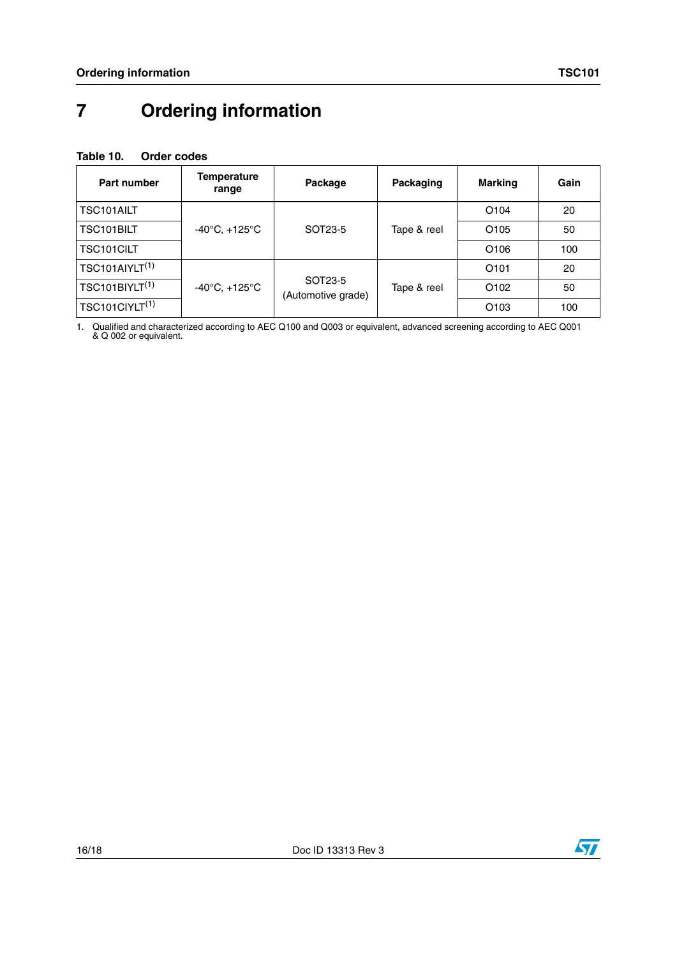# **7 Ordering information**

#### <span id="page-15-0"></span>**Table 10. Order codes**

| Part number                | <b>Temperature</b><br>range         | Package                       | Packaging   | <b>Marking</b>   | Gain |
|----------------------------|-------------------------------------|-------------------------------|-------------|------------------|------|
| <b>TSC101AILT</b>          |                                     |                               |             | O <sub>104</sub> | 20   |
| TSC101BILT                 | -40 $^{\circ}$ C, +125 $^{\circ}$ C | SOT23-5                       | Tape & reel | O <sub>105</sub> | 50   |
| TSC101CILT                 |                                     |                               |             | O <sub>106</sub> | 100  |
| TSC101AIYLT <sup>(1)</sup> |                                     | SOT23-5<br>(Automotive grade) | Tape & reel | O <sub>101</sub> | 20   |
| TSC101BIYLT <sup>(1)</sup> | $-40^{\circ}$ C, $+125^{\circ}$ C   |                               |             | O <sub>102</sub> | 50   |
| TSC101CIYLT <sup>(1)</sup> |                                     |                               |             | O <sub>103</sub> | 100  |

1. Qualified and characterized according to AEC Q100 and Q003 or equivalent, advanced screening according to AEC Q001 & Q 002 or equivalent.

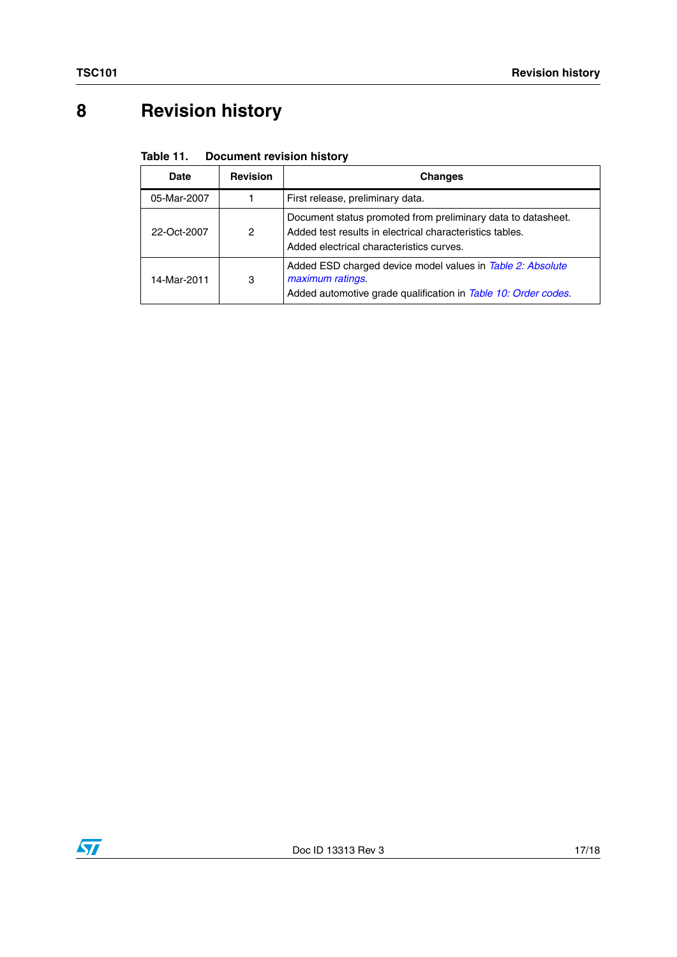# **8 Revision history**

#### Table 11. **Document revision history**

| <b>Date</b> | <b>Revision</b> | <b>Changes</b>                                                                                                                                                       |  |
|-------------|-----------------|----------------------------------------------------------------------------------------------------------------------------------------------------------------------|--|
| 05-Mar-2007 |                 | First release, preliminary data.                                                                                                                                     |  |
| 22-Oct-2007 | 2               | Document status promoted from preliminary data to datasheet.<br>Added test results in electrical characteristics tables.<br>Added electrical characteristics curves. |  |
| 14-Mar-2011 | 3               | Added ESD charged device model values in Table 2: Absolute<br>maximum ratings.<br>Added automotive grade qualification in Table 10: Order codes.                     |  |